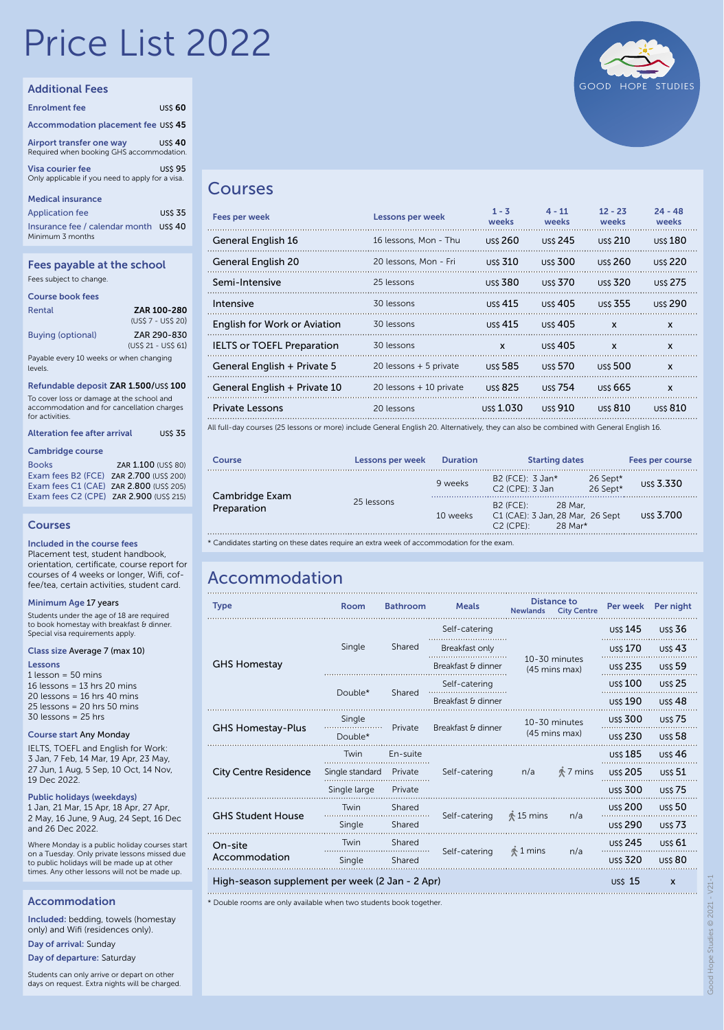# Price List 2022

#### Additional Fees

| <b>Enrolment fee</b>                                                        | <b>USS 60</b> |
|-----------------------------------------------------------------------------|---------------|
| Accommodation placement fee US\$ 45                                         |               |
| Airport transfer one way<br>Required when booking GHS accommodation.        | $USS 40$      |
| <b>Visa courier fee</b><br>Only applicable if you need to apply for a visa. | <b>USS 95</b> |

#### Medical insurance

Application fee US\$ 35 Insurance fee / calendar month US\$ 40 Minimum 3 months

#### Fees payable at the school Fees subject to change.

|  | _____ |  |
|--|-------|--|
|  |       |  |
|  |       |  |
|  |       |  |
|  |       |  |

| Course book fees                                   |                     |
|----------------------------------------------------|---------------------|
| Rental                                             | <b>ZAR 100-280</b>  |
|                                                    | (US\$ 7 - US\$ 20)  |
| <b>Buying (optional)</b>                           | ZAR 290-830         |
|                                                    | (US\$ 21 - US\$ 61) |
| Payable every 10 weeks or when changing<br>levels. |                     |
| Refundable deposit ZAR 1.500/US\$ 100              |                     |

To cover loss or damage at the school and

accommodation and for cancellation charges for activities.

| Alteration fee after arrival |  | <b>USS 35</b> |
|------------------------------|--|---------------|
|                              |  |               |

#### Cambridge course

| <b>Books</b>                            | ZAR 1.100 (US\$ 80) |
|-----------------------------------------|---------------------|
| Exam fees B2 (FCE) ZAR 2.700 (US\$ 200) |                     |
| Exam fees C1 (CAE) ZAR 2.800 (US\$ 205) |                     |
| Exam fees C2 (CPE) ZAR 2.900 (USS 215)  |                     |

#### Courses

Included in the course fees

Placement test, student handbook, orientation, certificate, course report for courses of 4 weeks or longer, Wifi, coffee/tea, certain activities, student card.

#### Minimum Age 17 years

Students under the age of 18 are required<br>to book homestay with breakfast & dinner. Special visa requirements apply.

#### Class size Average 7 (max 10)

#### Lessons

 $1$  lesson = 50 mins 16 lessons = 13 hrs 20 mins  $20$  lessons = 16 hrs 40 mins 25 lessons = 20 hrs 50 mins 30 lessons = 25 hrs

#### Course start Any Monday

IELTS, TOEFL and English for Work: 3 Jan, 7 Feb, 14 Mar, 19 Apr, 23 May, 27 Jun, 1 Aug, 5 Sep, 10 Oct, 14 Nov, 19 Dec 2022.

Public holidays (weekdays)

1 Jan, 21 Mar, 15 Apr, 18 Apr, 27 Apr, 2 May, 16 June, 9 Aug, 24 Sept, 16 Dec and 26 Dec 2022.

Where Monday is a public holiday courses start on a Tuesday. Only private lessons missed due to public holidays will be made up at other times. Any other lessons will not be made up.

#### Accommodation

Included: bedding, towels (homestay only) and Wifi (residences only).

Day of arrival: Sunday

Day of departure: Saturday

Students can only arrive or depart on other days on request. Extra nights will be charged.



#### Courses

| Fees per week                                                                                                                           | Lessons per week        | $1 - 3$<br>weeks | $4 - 11$<br>weeks | $12 - 23$<br>weeks | $24 - 48$<br>weeks |  |
|-----------------------------------------------------------------------------------------------------------------------------------------|-------------------------|------------------|-------------------|--------------------|--------------------|--|
| General English 16                                                                                                                      | 16 lessons, Mon - Thu   | uss 260          | <b>USS 245</b>    | <b>USS 210</b>     | uss 180            |  |
| General English 20                                                                                                                      | 20 lessons, Mon - Fri   | <b>USS 310</b>   | <b>uss 300</b>    | <b>uss 260</b>     | <b>USS 220</b>     |  |
| Semi-Intensive                                                                                                                          | 25 lessons              | <b>USS 380</b>   | uss 370           | <b>USS 320</b>     | <b>USS 275</b>     |  |
| Intensive                                                                                                                               | 30 lessons              | uss 415          | uss $405$         | uss 355            | uss 290            |  |
| English for Work or Aviation                                                                                                            | 30 lessons              | uss 415          | <b>uss 405</b>    | $\mathbf{x}$       | X                  |  |
| <b>IELTS or TOEFL Preparation</b>                                                                                                       | 30 lessons              | $\mathbf{x}$     | <b>uss 405</b>    | $\mathbf{x}$       | X                  |  |
| General English + Private 5                                                                                                             | 20 lessons $+5$ private | uss 585          | uss 570           | <b>uss 500</b>     | X                  |  |
| General English + Private 10                                                                                                            | 20 lessons + 10 private | <b>USS 825</b>   | uss 754           | uss 665            | $\mathbf{x}$       |  |
| Private Lessons                                                                                                                         | 20 lessons              | uss 1.030        | <b>USS</b> 910    | <b>USS 810</b>     | <b>USS 810</b>     |  |
| All full-day courses (25 lessons or more) include General English 20. Alternatively, they can also be combined with General English 16. |                         |                  |                   |                    |                    |  |

| Course                        | Lessons per week | <b>Duration</b> | <b>Starting dates</b>                                                                              |                      | Fees per course |
|-------------------------------|------------------|-----------------|----------------------------------------------------------------------------------------------------|----------------------|-----------------|
| Cambridge Exam<br>Preparation |                  | 9 weeks         | B2 (FCE): 3 Jan*<br>$C2$ (CPE): 3 Jan                                                              | 26 Sept*<br>26 Sept* | US\$ 3.330      |
|                               | 25 lessons       | 10 weeks        | $B2$ (FCE):<br>28 Mar.<br>C1 (CAE): 3 Jan, 28 Mar, 26 Sept<br>$C2$ (CPE):<br>$28$ Mar <sup>*</sup> |                      | uss 3.700       |

\* Candidates starting on these dates require an extra week of accommodation for the exam.

## Accommodation

| <b>Type</b>                                     | Room            | <b>Bathroom</b>               | <b>Meals</b>       | <b>Newlands</b>                 | <b>Distance to</b><br><b>City Centre</b> | Per week                  | Per night      |
|-------------------------------------------------|-----------------|-------------------------------|--------------------|---------------------------------|------------------------------------------|---------------------------|----------------|
|                                                 |                 |                               | Self-catering      |                                 |                                          |                           | <b>USS 36</b>  |
|                                                 | Single          | Shared                        | Breakfast only     |                                 |                                          | <b>US\$ 170</b>           | <b>US\$43</b>  |
| <b>GHS Homestay</b>                             |                 |                               | Breakfast & dinner |                                 | 10-30 minutes<br>(45 mins max)           | <b>US\$ 235</b>           | <b>US\$59</b>  |
|                                                 | Double*         |                               | Self-catering      |                                 |                                          | <b>US\$ 100</b>           | <b>US\$ 25</b> |
|                                                 |                 | Shared                        | Breakfast & dinner |                                 |                                          | <b>US\$ 190</b>           | <b>US\$48</b>  |
| <b>GHS Homestay-Plus</b>                        | Single          |                               |                    |                                 | 10-30 minutes                            | <b>USS 300</b>            | <b>US\$75</b>  |
|                                                 | Double*         | Breakfast & dinner<br>Private |                    |                                 | (45 mins max)                            |                           | <b>US\$58</b>  |
|                                                 | Twin            | En-suite                      | Self-catering      | n/a                             | <b>↑7 mins</b>                           | <b>US\$ 185</b>           | <b>US\$46</b>  |
| <b>City Centre Residence</b>                    | Single standard | Private                       |                    |                                 |                                          | <b>US\$ 205</b>           | <b>US\$ 51</b> |
|                                                 | Single large    | Private                       |                    |                                 |                                          | <b>US\$ 300</b>           | <b>US\$75</b>  |
| <b>GHS Student House</b>                        | Twin            | Shared                        |                    |                                 | n/a                                      | <b>US\$ 200</b>           | <b>US\$50</b>  |
|                                                 | Single          | Shared                        | Self-catering      | $\stackrel{*}{\otimes} 15$ mins |                                          | <b>uss 290</b>            | <b>US\$73</b>  |
| On-site                                         | Twin            | Shared                        |                    |                                 | n/a                                      | <b>US\$ 245</b>           | <b>US\$ 61</b> |
| Accommodation                                   | Single          | Shared                        | Self-catering      | \$1 mins                        |                                          | <b>USS 320</b>            | <b>USS 80</b>  |
| High-season supplement per week (2 Jan - 2 Apr) |                 |                               |                    |                                 | $US 15$                                  | $\boldsymbol{\mathsf{x}}$ |                |

\* Double rooms are only available when two students book together.